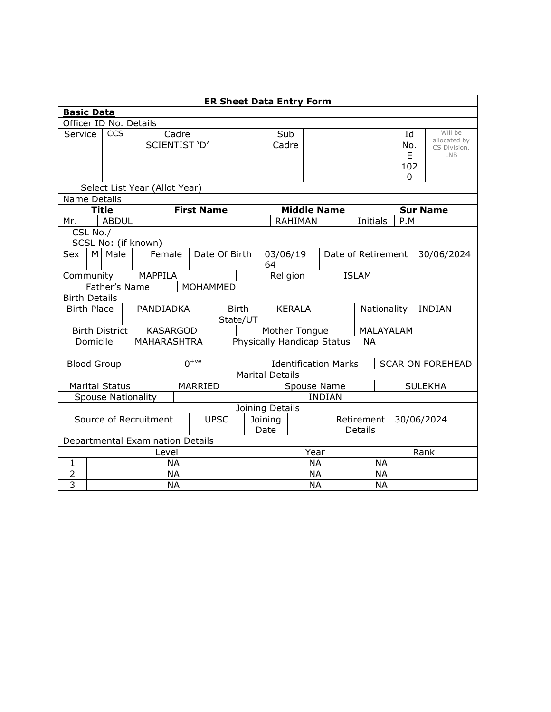| <b>ER Sheet Data Entry Form</b>      |                                           |                           |  |  |                               |                                  |                   |                                                       |                                         |                 |                    |  |               |                    |              |                         |               |                |                         |
|--------------------------------------|-------------------------------------------|---------------------------|--|--|-------------------------------|----------------------------------|-------------------|-------------------------------------------------------|-----------------------------------------|-----------------|--------------------|--|---------------|--------------------|--------------|-------------------------|---------------|----------------|-------------------------|
| <b>Basic Data</b>                    |                                           |                           |  |  |                               |                                  |                   |                                                       |                                         |                 |                    |  |               |                    |              |                         |               |                |                         |
| Officer ID No. Details               |                                           |                           |  |  |                               |                                  |                   |                                                       |                                         |                 |                    |  |               |                    |              |                         |               |                |                         |
| Service                              |                                           | CCS                       |  |  |                               | Cadre                            |                   |                                                       |                                         |                 | Sub                |  |               |                    |              |                         | Id            |                | Will be<br>allocated by |
|                                      | SCIENTIST 'D'                             |                           |  |  |                               |                                  |                   | Cadre                                                 |                                         |                 |                    |  |               | No.                |              | CS Division,            |               |                |                         |
|                                      |                                           |                           |  |  |                               |                                  |                   |                                                       |                                         |                 |                    |  |               | E                  |              | <b>LNB</b>              |               |                |                         |
|                                      |                                           |                           |  |  |                               |                                  |                   |                                                       |                                         |                 |                    |  |               |                    |              |                         | 102           |                |                         |
|                                      |                                           |                           |  |  |                               |                                  |                   |                                                       |                                         |                 |                    |  |               |                    |              |                         | 0             |                |                         |
|                                      |                                           |                           |  |  | Select List Year (Allot Year) |                                  |                   |                                                       |                                         |                 |                    |  |               |                    |              |                         |               |                |                         |
| Name Details                         |                                           | <b>Title</b>              |  |  |                               |                                  | <b>First Name</b> |                                                       |                                         |                 | <b>Middle Name</b> |  |               |                    |              |                         |               |                | <b>Sur Name</b>         |
|                                      |                                           | <b>ABDUL</b>              |  |  |                               |                                  |                   |                                                       |                                         |                 | <b>RAHIMAN</b>     |  |               |                    | Initials     |                         | P.M           |                |                         |
| Mr.                                  | CSL No./                                  |                           |  |  |                               |                                  |                   |                                                       |                                         |                 |                    |  |               |                    |              |                         |               |                |                         |
|                                      |                                           | SCSL No: (if known)       |  |  |                               |                                  |                   |                                                       |                                         |                 |                    |  |               |                    |              |                         |               |                |                         |
| Sex                                  |                                           | M Male                    |  |  | Female                        |                                  | Date Of Birth     |                                                       |                                         |                 | 03/06/19           |  |               | Date of Retirement |              |                         |               |                | 30/06/2024              |
|                                      |                                           |                           |  |  |                               |                                  |                   |                                                       |                                         | 64              |                    |  |               |                    |              |                         |               |                |                         |
| Community                            |                                           |                           |  |  | MAPPILA                       |                                  |                   |                                                       |                                         |                 | Religion           |  |               |                    | <b>ISLAM</b> |                         |               |                |                         |
|                                      |                                           | Father's Name             |  |  |                               |                                  | MOHAMMED          |                                                       |                                         |                 |                    |  |               |                    |              |                         |               |                |                         |
| <b>Birth Details</b>                 |                                           |                           |  |  |                               |                                  |                   |                                                       |                                         |                 |                    |  |               |                    |              |                         |               |                |                         |
| <b>Birth Place</b>                   |                                           |                           |  |  | PANDIADKA                     |                                  |                   | <b>Birth</b><br><b>KERALA</b>                         |                                         |                 |                    |  |               | Nationality        |              |                         | <b>INDIAN</b> |                |                         |
|                                      |                                           |                           |  |  |                               |                                  |                   | State/UT                                              |                                         |                 |                    |  |               |                    |              |                         |               |                |                         |
|                                      |                                           | <b>Birth District</b>     |  |  | <b>KASARGOD</b>               |                                  |                   |                                                       | Mother Tongue                           |                 |                    |  |               |                    |              | MALAYALAM               |               |                |                         |
|                                      | Domicile                                  |                           |  |  | <b>MAHARASHTRA</b>            |                                  |                   |                                                       | Physically Handicap Status<br><b>NA</b> |                 |                    |  |               |                    |              |                         |               |                |                         |
|                                      |                                           |                           |  |  |                               |                                  |                   |                                                       |                                         |                 |                    |  |               |                    |              |                         |               |                |                         |
|                                      |                                           | <b>Blood Group</b>        |  |  |                               |                                  | $n^{+ve}$         | <b>Identification Marks</b><br><b>Marital Details</b> |                                         |                 |                    |  |               |                    |              | <b>SCAR ON FOREHEAD</b> |               |                |                         |
|                                      |                                           |                           |  |  |                               |                                  |                   |                                                       |                                         |                 |                    |  |               |                    |              |                         |               |                |                         |
|                                      |                                           | <b>Marital Status</b>     |  |  |                               |                                  | MARRIED           |                                                       | Spouse Name                             |                 |                    |  |               |                    |              |                         |               | <b>SULEKHA</b> |                         |
|                                      |                                           | <b>Spouse Nationality</b> |  |  |                               |                                  |                   |                                                       |                                         |                 |                    |  | <b>INDIAN</b> |                    |              |                         |               |                |                         |
|                                      |                                           |                           |  |  |                               |                                  |                   |                                                       |                                         | Joining Details |                    |  |               |                    |              |                         |               |                |                         |
| Source of Recruitment<br><b>UPSC</b> |                                           |                           |  |  |                               | Retirement<br>Joining<br>Details |                   |                                                       |                                         |                 |                    |  | 30/06/2024    |                    |              |                         |               |                |                         |
|                                      |                                           |                           |  |  |                               |                                  |                   |                                                       |                                         | Date            |                    |  |               |                    |              |                         |               |                |                         |
|                                      | Departmental Examination Details<br>Level |                           |  |  |                               |                                  |                   |                                                       | Year                                    |                 |                    |  | Rank          |                    |              |                         |               |                |                         |
| $\mathbf{1}$                         |                                           |                           |  |  | <b>NA</b>                     |                                  |                   |                                                       |                                         | <b>NA</b>       |                    |  |               | <b>NA</b>          |              |                         |               |                |                         |
| $\overline{2}$                       |                                           |                           |  |  | <b>NA</b>                     |                                  |                   |                                                       |                                         | <b>NA</b>       |                    |  |               | <b>NA</b>          |              |                         |               |                |                         |
| 3                                    | <b>NA</b>                                 |                           |  |  |                               |                                  |                   | <b>NA</b><br><b>NA</b>                                |                                         |                 |                    |  |               |                    |              |                         |               |                |                         |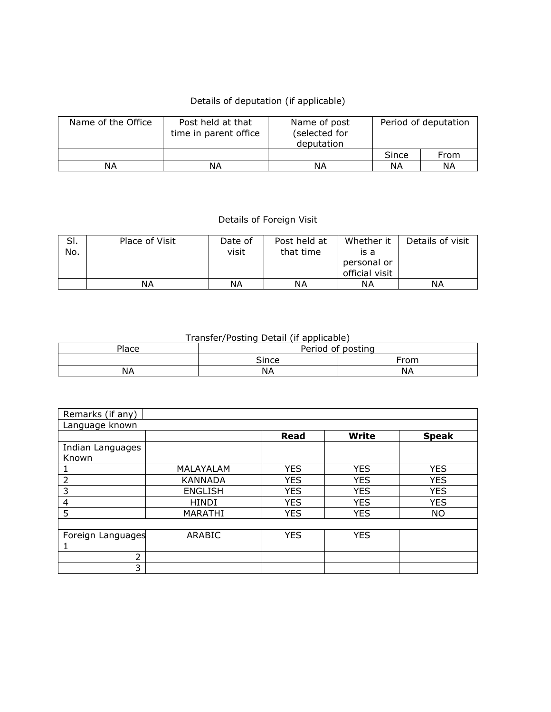## Details of deputation (if applicable)

| Name of the Office | Post held at that<br>time in parent office | Name of post<br>(selected for<br>deputation | Period of deputation |      |  |  |
|--------------------|--------------------------------------------|---------------------------------------------|----------------------|------|--|--|
|                    |                                            |                                             | Since                | From |  |  |
| ΝA                 | ΝA                                         | ΝA                                          | ΝA                   | ΝA   |  |  |

## Details of Foreign Visit

| SI. | Place of Visit | Date of | Post held at | Whether it     | Details of visit |
|-----|----------------|---------|--------------|----------------|------------------|
| No. |                | visit   | that time    | is a           |                  |
|     |                |         |              | personal or    |                  |
|     |                |         |              | official visit |                  |
|     | NА             | ΝA      | ΝA           | ΝA             | ΝA               |

## Transfer/Posting Detail (if applicable)

| Place | Period of posting |           |
|-------|-------------------|-----------|
|       | Since             | From      |
| NA    | ΝA                | <b>NA</b> |

| Remarks (if any)  |                |            |              |              |
|-------------------|----------------|------------|--------------|--------------|
| Language known    |                |            |              |              |
|                   |                | Read       | <b>Write</b> | <b>Speak</b> |
| Indian Languages  |                |            |              |              |
| Known             |                |            |              |              |
|                   | MALAYALAM      | <b>YES</b> | <b>YES</b>   | <b>YES</b>   |
| 2                 | <b>KANNADA</b> | <b>YES</b> | <b>YES</b>   | <b>YES</b>   |
| 3                 | <b>ENGLISH</b> | <b>YES</b> | <b>YES</b>   | <b>YES</b>   |
| 4                 | <b>HINDI</b>   | <b>YES</b> | <b>YES</b>   | <b>YES</b>   |
| 5                 | MARATHI        | <b>YES</b> | <b>YES</b>   | <b>NO</b>    |
|                   |                |            |              |              |
| Foreign Languages | ARABIC         | <b>YES</b> | <b>YES</b>   |              |
|                   |                |            |              |              |
| 2                 |                |            |              |              |
| 3                 |                |            |              |              |